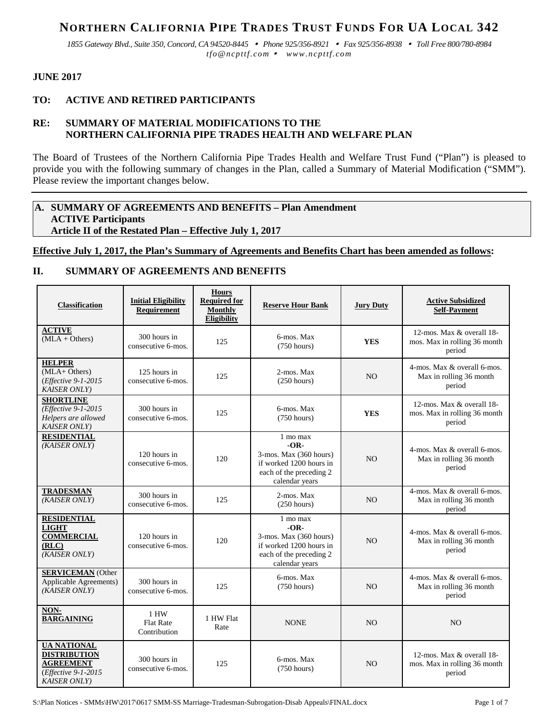# **NORTHERN CALIFORNIA PIPE TRADES TRUST FUNDS FOR UA LOCAL 342**

*1855 Gateway Blvd., Suite 350, Concord, CA 94520-8445 Phone 925/356-8921 Fax 925/356-8938 Toll Free 800/780-8984 tfo@ncpttf.com www.ncpttf.com*

## **JUNE 2017**

# **TO: ACTIVE AND RETIRED PARTICIPANTS**

# **RE: SUMMARY OF MATERIAL MODIFICATIONS TO THE NORTHERN CALIFORNIA PIPE TRADES HEALTH AND WELFARE PLAN**

The Board of Trustees of the Northern California Pipe Trades Health and Welfare Trust Fund ("Plan") is pleased to provide you with the following summary of changes in the Plan, called a Summary of Material Modification ("SMM"). Please review the important changes below.

#### **A. SUMMARY OF AGREEMENTS AND BENEFITS – Plan Amendment ACTIVE Participants Article II of the Restated Plan – Effective July 1, 2017**

# **Effective July 1, 2017, the Plan's Summary of Agreements and Benefits Chart has been amended as follows:**

# **II. SUMMARY OF AGREEMENTS AND BENEFITS**

| <b>Classification</b>                                                                                        | <b>Initial Eligibility</b><br><b>Requirement</b> | <b>Hours</b><br><b>Required for</b><br><b>Monthly</b><br><b>Eligibility</b> | <b>Reserve Hour Bank</b>                                                                                             | <b>Jury Duty</b> | <b>Active Subsidized</b><br><b>Self-Payment</b>                     |
|--------------------------------------------------------------------------------------------------------------|--------------------------------------------------|-----------------------------------------------------------------------------|----------------------------------------------------------------------------------------------------------------------|------------------|---------------------------------------------------------------------|
| <b>ACTIVE</b><br>$(MLA + Others)$                                                                            | 300 hours in<br>consecutive 6-mos.               | 125                                                                         | 6-mos. Max<br>(750 hours)                                                                                            | <b>YES</b>       | 12-mos. Max & overall 18-<br>mos. Max in rolling 36 month<br>period |
| <b>HELPER</b><br>$(MLA+ Others)$<br>(Effective 9-1-2015<br><b>KAISER ONLY</b> )                              | 125 hours in<br>consecutive 6-mos.               | 125                                                                         | 2-mos. Max<br>(250 hours)                                                                                            | N <sub>O</sub>   | 4-mos. Max & overall 6-mos.<br>Max in rolling 36 month<br>period    |
| <b>SHORTLINE</b><br>(Effective 9-1-2015)<br>Helpers are allowed<br><b>KAISER ONLY</b> )                      | 300 hours in<br>consecutive 6-mos.               | 125                                                                         | 6-mos. Max<br>$(750 \text{ hours})$                                                                                  | <b>YES</b>       | 12-mos. Max & overall 18-<br>mos. Max in rolling 36 month<br>period |
| <b>RESIDENTIAL</b><br>(KAISER ONLY)                                                                          | 120 hours in<br>consecutive 6-mos.               | 120                                                                         | 1 mo max<br>$-OR-$<br>3-mos. Max (360 hours)<br>if worked 1200 hours in<br>each of the preceding 2<br>calendar years | N <sub>O</sub>   | 4-mos. Max & overall 6-mos.<br>Max in rolling 36 month<br>period    |
| <b>TRADESMAN</b><br>(KAISER ONLY)                                                                            | 300 hours in<br>consecutive 6-mos.               | 125                                                                         | 2-mos. Max<br>(250 hours)                                                                                            | N <sub>O</sub>   | 4-mos. Max & overall 6-mos.<br>Max in rolling 36 month<br>period    |
| <b>RESIDENTIAL</b><br><b>LIGHT</b><br><b>COMMERCIAL</b><br>(RLC)<br>(KAISER ONLY)                            | 120 hours in<br>consecutive 6-mos.               | 120                                                                         | 1 mo max<br>$-OR-$<br>3-mos. Max (360 hours)<br>if worked 1200 hours in<br>each of the preceding 2<br>calendar years | N <sub>O</sub>   | 4-mos. Max & overall 6-mos.<br>Max in rolling 36 month<br>period    |
| <b>SERVICEMAN</b> (Other<br>Applicable Agreements)<br>(KAISER ONLY)                                          | 300 hours in<br>consecutive 6-mos.               | 125                                                                         | 6-mos. Max<br>(750 hours)                                                                                            | N <sub>O</sub>   | 4-mos. Max & overall 6-mos.<br>Max in rolling 36 month<br>period    |
| NON-<br><b>BARGAINING</b>                                                                                    | 1 HW<br><b>Flat Rate</b><br>Contribution         | 1 HW Flat<br>Rate                                                           | <b>NONE</b>                                                                                                          | N <sub>O</sub>   | N <sub>O</sub>                                                      |
| <b>UA NATIONAL</b><br><b>DISTRIBUTION</b><br><b>AGREEMENT</b><br>(Effective 9-1-2015<br><b>KAISER ONLY</b> ) | 300 hours in<br>consecutive 6-mos.               | 125                                                                         | 6-mos. Max<br>(750 hours)                                                                                            | N <sub>O</sub>   | 12-mos. Max & overall 18-<br>mos. Max in rolling 36 month<br>period |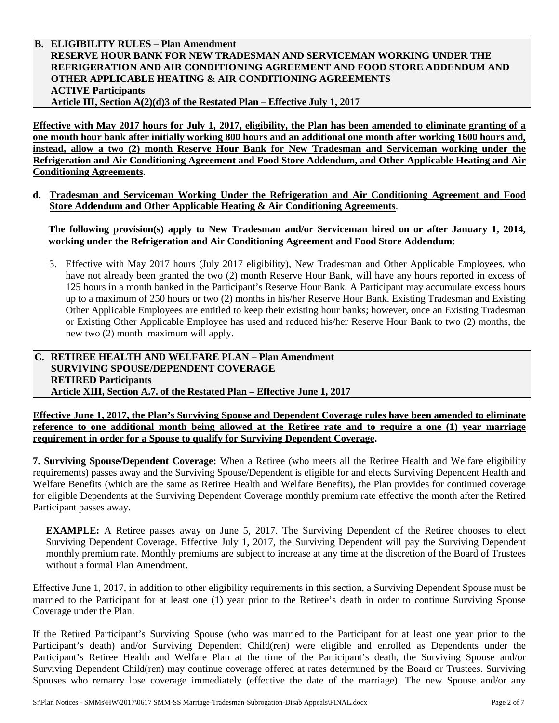#### **B. ELIGIBILITY RULES – Plan Amendment RESERVE HOUR BANK FOR NEW TRADESMAN AND SERVICEMAN WORKING UNDER THE REFRIGERATION AND AIR CONDITIONING AGREEMENT AND FOOD STORE ADDENDUM AND OTHER APPLICABLE HEATING & AIR CONDITIONING AGREEMENTS ACTIVE Participants Article III, Section A(2)(d)3 of the Restated Plan – Effective July 1, 2017**

**Effective with May 2017 hours for July 1, 2017, eligibility, the Plan has been amended to eliminate granting of a one month hour bank after initially working 800 hours and an additional one month after working 1600 hours and, instead, allow a two (2) month Reserve Hour Bank for New Tradesman and Serviceman working under the Refrigeration and Air Conditioning Agreement and Food Store Addendum, and Other Applicable Heating and Air Conditioning Agreements.**

**d. Tradesman and Serviceman Working Under the Refrigeration and Air Conditioning Agreement and Food Store Addendum and Other Applicable Heating & Air Conditioning Agreements**.

**The following provision(s) apply to New Tradesman and/or Serviceman hired on or after January 1, 2014, working under the Refrigeration and Air Conditioning Agreement and Food Store Addendum:**

3. Effective with May 2017 hours (July 2017 eligibility), New Tradesman and Other Applicable Employees, who have not already been granted the two (2) month Reserve Hour Bank, will have any hours reported in excess of 125 hours in a month banked in the Participant's Reserve Hour Bank. A Participant may accumulate excess hours up to a maximum of 250 hours or two (2) months in his/her Reserve Hour Bank. Existing Tradesman and Existing Other Applicable Employees are entitled to keep their existing hour banks; however, once an Existing Tradesman or Existing Other Applicable Employee has used and reduced his/her Reserve Hour Bank to two (2) months, the new two (2) month maximum will apply.

## **C. RETIREE HEALTH AND WELFARE PLAN – Plan Amendment SURVIVING SPOUSE/DEPENDENT COVERAGE RETIRED Participants Article XIII, Section A.7. of the Restated Plan – Effective June 1, 2017**

**Effective June 1, 2017, the Plan's Surviving Spouse and Dependent Coverage rules have been amended to eliminate reference to one additional month being allowed at the Retiree rate and to require a one (1) year marriage requirement in order for a Spouse to qualify for Surviving Dependent Coverage.**

**7. Surviving Spouse/Dependent Coverage:** When a Retiree (who meets all the Retiree Health and Welfare eligibility requirements) passes away and the Surviving Spouse/Dependent is eligible for and elects Surviving Dependent Health and Welfare Benefits (which are the same as Retiree Health and Welfare Benefits), the Plan provides for continued coverage for eligible Dependents at the Surviving Dependent Coverage monthly premium rate effective the month after the Retired Participant passes away.

**EXAMPLE:** A Retiree passes away on June 5, 2017. The Surviving Dependent of the Retiree chooses to elect Surviving Dependent Coverage. Effective July 1, 2017, the Surviving Dependent will pay the Surviving Dependent monthly premium rate. Monthly premiums are subject to increase at any time at the discretion of the Board of Trustees without a formal Plan Amendment.

Effective June 1, 2017, in addition to other eligibility requirements in this section, a Surviving Dependent Spouse must be married to the Participant for at least one (1) year prior to the Retiree's death in order to continue Surviving Spouse Coverage under the Plan.

If the Retired Participant's Surviving Spouse (who was married to the Participant for at least one year prior to the Participant's death) and/or Surviving Dependent Child(ren) were eligible and enrolled as Dependents under the Participant's Retiree Health and Welfare Plan at the time of the Participant's death, the Surviving Spouse and/or Surviving Dependent Child(ren) may continue coverage offered at rates determined by the Board or Trustees. Surviving Spouses who remarry lose coverage immediately (effective the date of the marriage). The new Spouse and/or any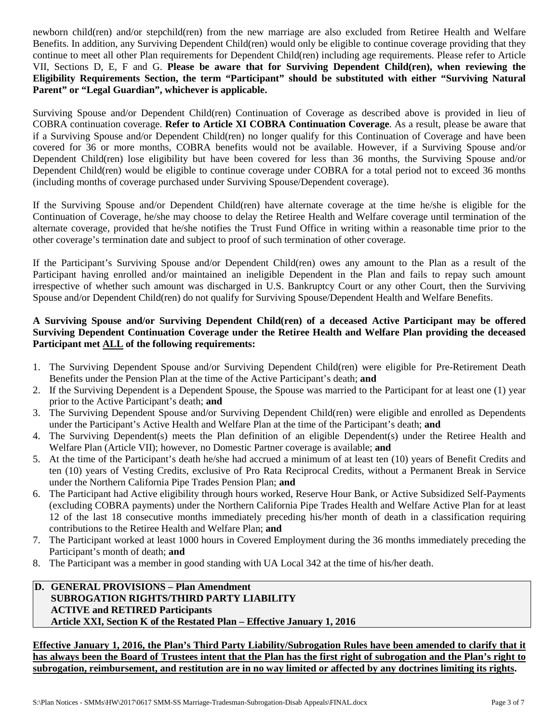newborn child(ren) and/or stepchild(ren) from the new marriage are also excluded from Retiree Health and Welfare Benefits. In addition, any Surviving Dependent Child(ren) would only be eligible to continue coverage providing that they continue to meet all other Plan requirements for Dependent Child(ren) including age requirements. Please refer to Article VII, Sections D, E, F and G. **Please be aware that for Surviving Dependent Child(ren), when reviewing the Eligibility Requirements Section, the term "Participant" should be substituted with either "Surviving Natural Parent" or "Legal Guardian", whichever is applicable.** 

Surviving Spouse and/or Dependent Child(ren) Continuation of Coverage as described above is provided in lieu of COBRA continuation coverage. **Refer to Article XI COBRA Continuation Coverage**. As a result, please be aware that if a Surviving Spouse and/or Dependent Child(ren) no longer qualify for this Continuation of Coverage and have been covered for 36 or more months, COBRA benefits would not be available. However, if a Surviving Spouse and/or Dependent Child(ren) lose eligibility but have been covered for less than 36 months, the Surviving Spouse and/or Dependent Child(ren) would be eligible to continue coverage under COBRA for a total period not to exceed 36 months (including months of coverage purchased under Surviving Spouse/Dependent coverage).

If the Surviving Spouse and/or Dependent Child(ren) have alternate coverage at the time he/she is eligible for the Continuation of Coverage, he/she may choose to delay the Retiree Health and Welfare coverage until termination of the alternate coverage, provided that he/she notifies the Trust Fund Office in writing within a reasonable time prior to the other coverage's termination date and subject to proof of such termination of other coverage.

If the Participant's Surviving Spouse and/or Dependent Child(ren) owes any amount to the Plan as a result of the Participant having enrolled and/or maintained an ineligible Dependent in the Plan and fails to repay such amount irrespective of whether such amount was discharged in U.S. Bankruptcy Court or any other Court, then the Surviving Spouse and/or Dependent Child(ren) do not qualify for Surviving Spouse/Dependent Health and Welfare Benefits.

## **A Surviving Spouse and/or Surviving Dependent Child(ren) of a deceased Active Participant may be offered Surviving Dependent Continuation Coverage under the Retiree Health and Welfare Plan providing the deceased Participant met ALL of the following requirements:**

- 1. The Surviving Dependent Spouse and/or Surviving Dependent Child(ren) were eligible for Pre-Retirement Death Benefits under the Pension Plan at the time of the Active Participant's death; **and**
- 2. If the Surviving Dependent is a Dependent Spouse, the Spouse was married to the Participant for at least one (1) year prior to the Active Participant's death; **and**
- 3. The Surviving Dependent Spouse and/or Surviving Dependent Child(ren) were eligible and enrolled as Dependents under the Participant's Active Health and Welfare Plan at the time of the Participant's death; **and**
- 4. The Surviving Dependent(s) meets the Plan definition of an eligible Dependent(s) under the Retiree Health and Welfare Plan (Article VII); however, no Domestic Partner coverage is available; **and**
- 5. At the time of the Participant's death he/she had accrued a minimum of at least ten (10) years of Benefit Credits and ten (10) years of Vesting Credits, exclusive of Pro Rata Reciprocal Credits, without a Permanent Break in Service under the Northern California Pipe Trades Pension Plan; **and**
- 6. The Participant had Active eligibility through hours worked, Reserve Hour Bank, or Active Subsidized Self-Payments (excluding COBRA payments) under the Northern California Pipe Trades Health and Welfare Active Plan for at least 12 of the last 18 consecutive months immediately preceding his/her month of death in a classification requiring contributions to the Retiree Health and Welfare Plan; **and**
- 7. The Participant worked at least 1000 hours in Covered Employment during the 36 months immediately preceding the Participant's month of death; **and**
- 8. The Participant was a member in good standing with UA Local 342 at the time of his/her death.

# **D. GENERAL PROVISIONS – Plan Amendment SUBROGATION RIGHTS/THIRD PARTY LIABILITY ACTIVE and RETIRED Participants Article XXI, Section K of the Restated Plan – Effective January 1, 2016**

**Effective January 1, 2016, the Plan's Third Party Liability/Subrogation Rules have been amended to clarify that it has always been the Board of Trustees intent that the Plan has the first right of subrogation and the Plan's right to subrogation, reimbursement, and restitution are in no way limited or affected by any doctrines limiting its rights.**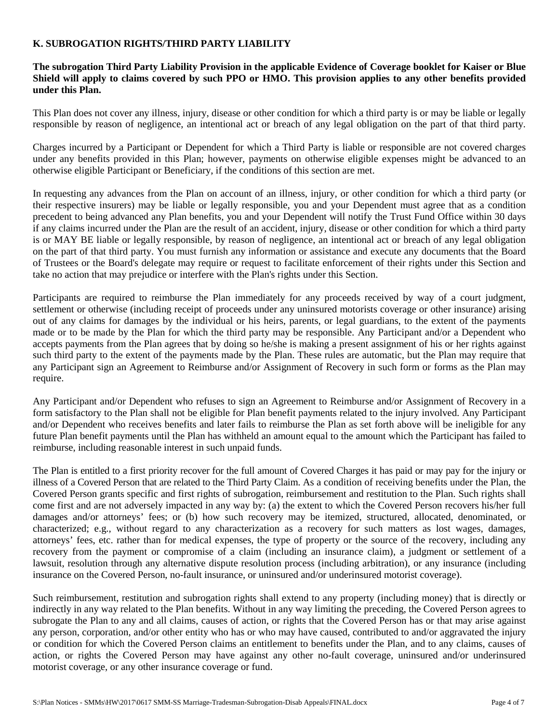#### **K. SUBROGATION RIGHTS/THIRD PARTY LIABILITY**

#### **The subrogation Third Party Liability Provision in the applicable Evidence of Coverage booklet for Kaiser or Blue Shield will apply to claims covered by such PPO or HMO. This provision applies to any other benefits provided under this Plan.**

This Plan does not cover any illness, injury, disease or other condition for which a third party is or may be liable or legally responsible by reason of negligence, an intentional act or breach of any legal obligation on the part of that third party.

Charges incurred by a Participant or Dependent for which a Third Party is liable or responsible are not covered charges under any benefits provided in this Plan; however, payments on otherwise eligible expenses might be advanced to an otherwise eligible Participant or Beneficiary, if the conditions of this section are met.

In requesting any advances from the Plan on account of an illness, injury, or other condition for which a third party (or their respective insurers) may be liable or legally responsible, you and your Dependent must agree that as a condition precedent to being advanced any Plan benefits, you and your Dependent will notify the Trust Fund Office within 30 days if any claims incurred under the Plan are the result of an accident, injury, disease or other condition for which a third party is or MAY BE liable or legally responsible, by reason of negligence, an intentional act or breach of any legal obligation on the part of that third party. You must furnish any information or assistance and execute any documents that the Board of Trustees or the Board's delegate may require or request to facilitate enforcement of their rights under this Section and take no action that may prejudice or interfere with the Plan's rights under this Section.

Participants are required to reimburse the Plan immediately for any proceeds received by way of a court judgment, settlement or otherwise (including receipt of proceeds under any uninsured motorists coverage or other insurance) arising out of any claims for damages by the individual or his heirs, parents, or legal guardians, to the extent of the payments made or to be made by the Plan for which the third party may be responsible. Any Participant and/or a Dependent who accepts payments from the Plan agrees that by doing so he/she is making a present assignment of his or her rights against such third party to the extent of the payments made by the Plan. These rules are automatic, but the Plan may require that any Participant sign an Agreement to Reimburse and/or Assignment of Recovery in such form or forms as the Plan may require.

Any Participant and/or Dependent who refuses to sign an Agreement to Reimburse and/or Assignment of Recovery in a form satisfactory to the Plan shall not be eligible for Plan benefit payments related to the injury involved. Any Participant and/or Dependent who receives benefits and later fails to reimburse the Plan as set forth above will be ineligible for any future Plan benefit payments until the Plan has withheld an amount equal to the amount which the Participant has failed to reimburse, including reasonable interest in such unpaid funds.

The Plan is entitled to a first priority recover for the full amount of Covered Charges it has paid or may pay for the injury or illness of a Covered Person that are related to the Third Party Claim. As a condition of receiving benefits under the Plan, the Covered Person grants specific and first rights of subrogation, reimbursement and restitution to the Plan. Such rights shall come first and are not adversely impacted in any way by: (a) the extent to which the Covered Person recovers his/her full damages and/or attorneys' fees; or (b) how such recovery may be itemized, structured, allocated, denominated, or characterized; e.g., without regard to any characterization as a recovery for such matters as lost wages, damages, attorneys' fees, etc. rather than for medical expenses, the type of property or the source of the recovery, including any recovery from the payment or compromise of a claim (including an insurance claim), a judgment or settlement of a lawsuit, resolution through any alternative dispute resolution process (including arbitration), or any insurance (including insurance on the Covered Person, no-fault insurance, or uninsured and/or underinsured motorist coverage).

Such reimbursement, restitution and subrogation rights shall extend to any property (including money) that is directly or indirectly in any way related to the Plan benefits. Without in any way limiting the preceding, the Covered Person agrees to subrogate the Plan to any and all claims, causes of action, or rights that the Covered Person has or that may arise against any person, corporation, and/or other entity who has or who may have caused, contributed to and/or aggravated the injury or condition for which the Covered Person claims an entitlement to benefits under the Plan, and to any claims, causes of action, or rights the Covered Person may have against any other no-fault coverage, uninsured and/or underinsured motorist coverage, or any other insurance coverage or fund.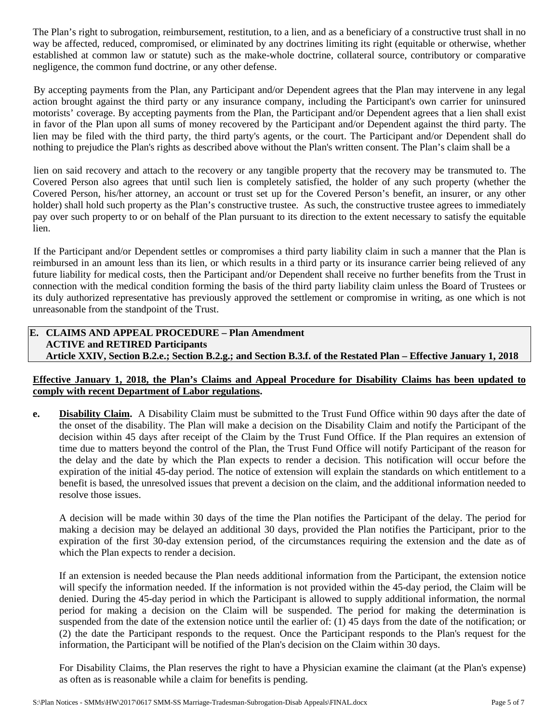The Plan's right to subrogation, reimbursement, restitution, to a lien, and as a beneficiary of a constructive trust shall in no way be affected, reduced, compromised, or eliminated by any doctrines limiting its right (equitable or otherwise, whether established at common law or statute) such as the make-whole doctrine, collateral source, contributory or comparative negligence, the common fund doctrine, or any other defense.

By accepting payments from the Plan, any Participant and/or Dependent agrees that the Plan may intervene in any legal action brought against the third party or any insurance company, including the Participant's own carrier for uninsured motorists' coverage. By accepting payments from the Plan, the Participant and/or Dependent agrees that a lien shall exist in favor of the Plan upon all sums of money recovered by the Participant and/or Dependent against the third party. The lien may be filed with the third party, the third party's agents, or the court. The Participant and/or Dependent shall do nothing to prejudice the Plan's rights as described above without the Plan's written consent. The Plan's claim shall be a

lien on said recovery and attach to the recovery or any tangible property that the recovery may be transmuted to. The Covered Person also agrees that until such lien is completely satisfied, the holder of any such property (whether the Covered Person, his/her attorney, an account or trust set up for the Covered Person's benefit, an insurer, or any other holder) shall hold such property as the Plan's constructive trustee. As such, the constructive trustee agrees to immediately pay over such property to or on behalf of the Plan pursuant to its direction to the extent necessary to satisfy the equitable lien.

If the Participant and/or Dependent settles or compromises a third party liability claim in such a manner that the Plan is reimbursed in an amount less than its lien, or which results in a third party or its insurance carrier being relieved of any future liability for medical costs, then the Participant and/or Dependent shall receive no further benefits from the Trust in connection with the medical condition forming the basis of the third party liability claim unless the Board of Trustees or its duly authorized representative has previously approved the settlement or compromise in writing, as one which is not unreasonable from the standpoint of the Trust.

## **E. CLAIMS AND APPEAL PROCEDURE – Plan Amendment ACTIVE and RETIRED Participants Article XXIV, Section B.2.e.; Section B.2.g.; and Section B.3.f. of the Restated Plan – Effective January 1, 2018**

# **Effective January 1, 2018, the Plan's Claims and Appeal Procedure for Disability Claims has been updated to comply with recent Department of Labor regulations.**

**e. Disability Claim.** A Disability Claim must be submitted to the Trust Fund Office within 90 days after the date of the onset of the disability. The Plan will make a decision on the Disability Claim and notify the Participant of the decision within 45 days after receipt of the Claim by the Trust Fund Office. If the Plan requires an extension of time due to matters beyond the control of the Plan, the Trust Fund Office will notify Participant of the reason for the delay and the date by which the Plan expects to render a decision. This notification will occur before the expiration of the initial 45-day period. The notice of extension will explain the standards on which entitlement to a benefit is based, the unresolved issues that prevent a decision on the claim, and the additional information needed to resolve those issues.

A decision will be made within 30 days of the time the Plan notifies the Participant of the delay. The period for making a decision may be delayed an additional 30 days, provided the Plan notifies the Participant, prior to the expiration of the first 30-day extension period, of the circumstances requiring the extension and the date as of which the Plan expects to render a decision.

If an extension is needed because the Plan needs additional information from the Participant, the extension notice will specify the information needed. If the information is not provided within the 45-day period, the Claim will be denied. During the 45-day period in which the Participant is allowed to supply additional information, the normal period for making a decision on the Claim will be suspended. The period for making the determination is suspended from the date of the extension notice until the earlier of: (1) 45 days from the date of the notification; or (2) the date the Participant responds to the request. Once the Participant responds to the Plan's request for the information, the Participant will be notified of the Plan's decision on the Claim within 30 days.

For Disability Claims, the Plan reserves the right to have a Physician examine the claimant (at the Plan's expense) as often as is reasonable while a claim for benefits is pending.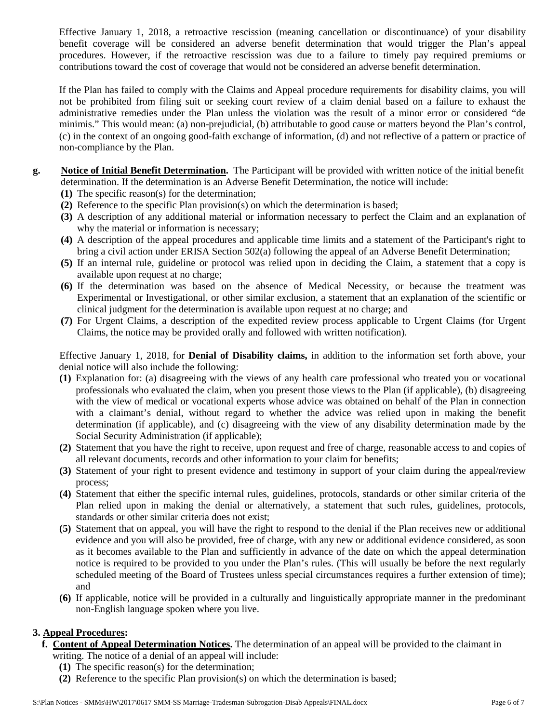Effective January 1, 2018, a retroactive rescission (meaning cancellation or discontinuance) of your disability benefit coverage will be considered an adverse benefit determination that would trigger the Plan's appeal procedures. However, if the retroactive rescission was due to a failure to timely pay required premiums or contributions toward the cost of coverage that would not be considered an adverse benefit determination.

If the Plan has failed to comply with the Claims and Appeal procedure requirements for disability claims, you will not be prohibited from filing suit or seeking court review of a claim denial based on a failure to exhaust the administrative remedies under the Plan unless the violation was the result of a minor error or considered "de minimis." This would mean: (a) non-prejudicial, (b) attributable to good cause or matters beyond the Plan's control, (c) in the context of an ongoing good-faith exchange of information, (d) and not reflective of a pattern or practice of non-compliance by the Plan.

- **g. Notice of Initial Benefit Determination.** The Participant will be provided with written notice of the initial benefit determination. If the determination is an Adverse Benefit Determination, the notice will include:
	- **(1)** The specific reason(s) for the determination;
	- **(2)** Reference to the specific Plan provision(s) on which the determination is based;
	- **(3)** A description of any additional material or information necessary to perfect the Claim and an explanation of why the material or information is necessary;
	- **(4)** A description of the appeal procedures and applicable time limits and a statement of the Participant's right to bring a civil action under ERISA Section 502(a) following the appeal of an Adverse Benefit Determination;
	- **(5)** If an internal rule, guideline or protocol was relied upon in deciding the Claim, a statement that a copy is available upon request at no charge;
	- **(6)** If the determination was based on the absence of Medical Necessity, or because the treatment was Experimental or Investigational, or other similar exclusion, a statement that an explanation of the scientific or clinical judgment for the determination is available upon request at no charge; and
	- **(7)** For Urgent Claims, a description of the expedited review process applicable to Urgent Claims (for Urgent Claims, the notice may be provided orally and followed with written notification).

Effective January 1, 2018, for **Denial of Disability claims,** in addition to the information set forth above, your denial notice will also include the following:

- **(1)** Explanation for: (a) disagreeing with the views of any health care professional who treated you or vocational professionals who evaluated the claim, when you present those views to the Plan (if applicable), (b) disagreeing with the view of medical or vocational experts whose advice was obtained on behalf of the Plan in connection with a claimant's denial, without regard to whether the advice was relied upon in making the benefit determination (if applicable), and (c) disagreeing with the view of any disability determination made by the Social Security Administration (if applicable);
- **(2)** Statement that you have the right to receive, upon request and free of charge, reasonable access to and copies of all relevant documents, records and other information to your claim for benefits;
- **(3)** Statement of your right to present evidence and testimony in support of your claim during the appeal/review process;
- **(4)** Statement that either the specific internal rules, guidelines, protocols, standards or other similar criteria of the Plan relied upon in making the denial or alternatively, a statement that such rules, guidelines, protocols, standards or other similar criteria does not exist;
- **(5)** Statement that on appeal, you will have the right to respond to the denial if the Plan receives new or additional evidence and you will also be provided, free of charge, with any new or additional evidence considered, as soon as it becomes available to the Plan and sufficiently in advance of the date on which the appeal determination notice is required to be provided to you under the Plan's rules. (This will usually be before the next regularly scheduled meeting of the Board of Trustees unless special circumstances requires a further extension of time); and
- **(6)** If applicable, notice will be provided in a culturally and linguistically appropriate manner in the predominant non-English language spoken where you live.

# **3. Appeal Procedures:**

- **f. Content of Appeal Determination Notices.** The determination of an appeal will be provided to the claimant in writing. The notice of a denial of an appeal will include:
	- **(1)** The specific reason(s) for the determination;
	- **(2)** Reference to the specific Plan provision(s) on which the determination is based;